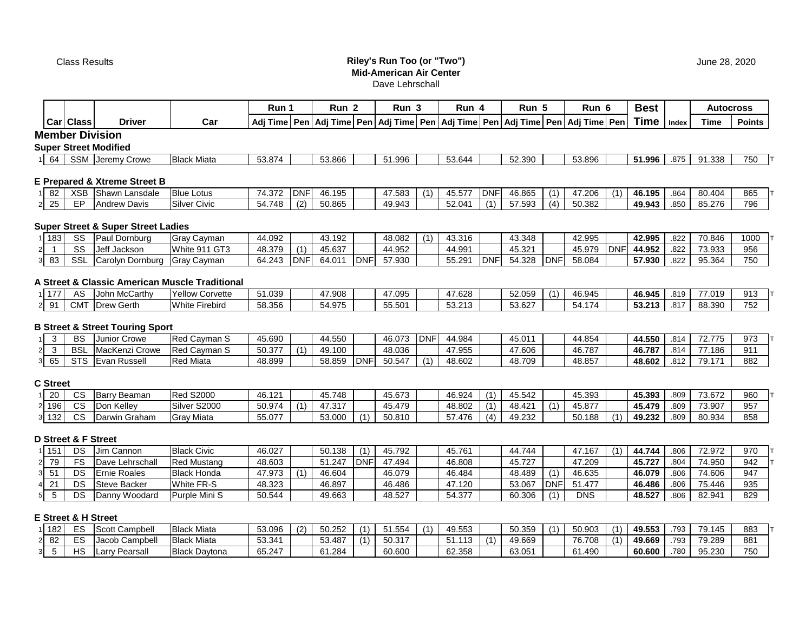## Class Results **Riley's Run Too (or "Two") Mid-American Air Center** Dave Lehrschall

|                                                            |                        |                              |                    | Run 1  | Run ∡  | Run 3                                                                                    | Run 4  | Run 5  | Run    | <b>Best</b> |       | Autocross |               |
|------------------------------------------------------------|------------------------|------------------------------|--------------------|--------|--------|------------------------------------------------------------------------------------------|--------|--------|--------|-------------|-------|-----------|---------------|
|                                                            | <b>Carl Class</b>      | <b>Driver</b>                | Car                |        |        | Adi Time  Pen  Adi Time  Pen  Adi Time  Pen  Adi Time  Pen  Adi Time  Pen  Adi Time  Pen |        |        |        | <b>Time</b> | Index | Time      | <b>Points</b> |
|                                                            | <b>Member Division</b> |                              |                    |        |        |                                                                                          |        |        |        |             |       |           |               |
|                                                            |                        | <b>Super Street Modified</b> |                    |        |        |                                                                                          |        |        |        |             |       |           |               |
| $\begin{array}{ c c } \hline \hline \hline \end{array}$ 64 | <b>SSM</b>             | Jeremy Crowe                 | <b>Black Miata</b> | 53.874 | 53.866 | 51.996                                                                                   | 53.644 | 52.390 | 53.896 | 51.996      | .875  | 91.338    | 750           |

#### **E Prepared & Xtreme Street B**

| $\sim$<br>l 82 | XSI  | <b>Shawn</b><br>Lansdale             | <b>Blue Lotus</b>           | 74 272<br>، 1د. ۲ | <b>DNF</b> | 16.195<br>11. | 7.583  | $\sim$ $ -$<br>45.57 | <b>DNF</b>     | $\overline{A}$ $\overline{A}$ $\overline{A}$ $\overline{A}$ $\overline{A}$ $\overline{A}$ $\overline{A}$<br>46.865 | (1) | '7.206 | 46.195 | .864 | 80.404 | 865 |
|----------------|------|--------------------------------------|-----------------------------|-------------------|------------|---------------|--------|----------------------|----------------|--------------------------------------------------------------------------------------------------------------------|-----|--------|--------|------|--------|-----|
| つら             | $ -$ | <sup>'</sup> Davis<br><b>IAndrew</b> | Silver<br>$\sim$ .<br>Civic | 1748<br>، + ب     | (2)        | 50.865        | 49.943 | 52.04                | $\overline{A}$ | 7.593<br>57                                                                                                        | (4) | 50.382 | 49.943 | .850 | 85.276 | 796 |

## **Super Street & Super Street Ladies**

| 183 | $\sim$<br>53 | ' Dornburg<br>⊥Do | Cavmar<br>Grav  | 44.092 |            | .192<br>$\sqrt{2}$<br>-4٥. |        | 48.082                          | $\overline{\phantom{a}}$ | 10.01C<br>40.310 |     | 43.348                |     | 42.995 |     | 42.995 | 822  | 70.846          | 1000 |
|-----|--------------|-------------------|-----------------|--------|------------|----------------------------|--------|---------------------------------|--------------------------|------------------|-----|-----------------------|-----|--------|-----|--------|------|-----------------|------|
|     | $\sim$<br>52 | Jeff<br>Jackson   | White 911 GT3   | 48.379 |            | 45.637                     |        | 4.952                           |                          | 44.991           |     | 15.001<br>マン<br>ےں.ںי |     | 45.979 | )NF | 44.952 | .822 | 73.933<br>ບ.ວບບ | 956  |
| ൦൦  | SS           | Carolyn Dornburg  | lGrav<br>Caymar | 64.243 | <b>DNF</b> | 64.01                      | ∴∽ا∨ار | 57 930<br>$\mathcal{L}$<br>.vvv |                          | 55.291           | DNF | 4.328<br>54           | DNF | 58.084 |     | 57.930 | .822 | 95.364          | 750  |

#### **A Street & Classic American Muscle Traditional**

| 177 | AC        | McCarthv<br>.John    | Yellow<br>Corvette                  | 1.039<br>. . | 17.908<br>4 | 17 NQE<br>.טטט | 7.628                                                 | 52.059                | 46.945          | 46.945                | .819 | <b>77 010</b><br>. | 913 |
|-----|-----------|----------------------|-------------------------------------|--------------|-------------|----------------|-------------------------------------------------------|-----------------------|-----------------|-----------------------|------|--------------------|-----|
|     | ---<br>JM | . .<br>Gerth<br>Drew | $- \cdot$<br>M/hite<br>™rebira<br>. | 58.356       | 54.975      | 55 501<br>J.JU | $F^{\wedge}$ $\wedge$ $\wedge$<br>. ع.د. ب<br>$\cdot$ | 027<br>ィトノノ<br>JJ.UZI | $ -$<br>. 54. L | 52.242<br>ວວ.∠<br>. . | .817 | 88,390             | 752 |

## **B Street & Street Touring Sport**

|                         |    | BS            | Crowe<br>Junic               | <b>IReg</b><br>Cavman S | 45.690                   |          | 44.550 |     | 46.073                     | DNF' | 44.984 | $\overline{1}$ $\overline{1}$ $\overline{1}$ $\overline{1}$ $\overline{1}$ | 44.854 | <b>A EEA</b><br>44.330 | .814          | --<br><b>775</b> | 973 |
|-------------------------|----|---------------|------------------------------|-------------------------|--------------------------|----------|--------|-----|----------------------------|------|--------|----------------------------------------------------------------------------|--------|------------------------|---------------|------------------|-----|
|                         |    | <b>BSI</b>    | acKenz <sup>,</sup><br>-rowe | - Rec<br>Cavman S       | E(0.277)<br><b>JU.JI</b> | $\cdots$ | 49.100 |     | 48.036                     |      | 47.955 | 47.606                                                                     | 46.787 | 46.787                 | .814          | .186<br>--       | 91' |
| $\sim$<br><sub>65</sub> | ບມ | $\sim$ $\sim$ | ussell<br>-van<br>. پ        | <b>Red Miata</b>        | 48.899                   |          | 58.859 | DNI | $F \cap F A \neq$<br>50.54 |      | 48.602 | 48.709                                                                     | 48.857 | 48.602                 | 012<br>∠ ا ∂. | 70 17<br>◡.      | 882 |

#### **C Street**

| $\sim$<br>ZU | $\sim$<br>v  | Beaman<br>. Dorm f<br>⊃anv | S2000<br><b>IRed</b>    | 46.121 |          | 45.748                        |     | 45.673 | 46.924 | $\cdots$ | 45.542             | 45.393 | 45.393                  | .809 | 73.672 | 960 |
|--------------|--------------|----------------------------|-------------------------|--------|----------|-------------------------------|-----|--------|--------|----------|--------------------|--------|-------------------------|------|--------|-----|
| 196          | $\sim$<br>vc | r Kelley<br>$\lambda$      | Silver<br>S2000         | 50.974 | $\cdots$ | <b>AT 247</b><br>д,<br>ا ت. ا |     | 45.479 | 48.802 | $\cdots$ | $\Delta$<br>.8.4∠⊺ | 45.877 | 45.479                  | .809 | 73.907 | 957 |
| 132          | $\sim$<br>UÚ | urwin Graham               | y Miata<br><b>IGray</b> | 55.077 |          | 53.000                        | (1) | 50.810 | 57.476 | (4)      | 49.232             | 50.188 | <b>AQ 232</b><br>19.Z3Z | .809 | 80.934 | 858 |

## **D Street & F Street**

| 151 | DS. | Jim Cannon          | <b>Black Civic</b> | 46.027 | 50.138 | (4)        | 45.792 | 45.761 | 44.744 | .167<br>4  | .4.744 | 806 | 72.972 | 970 |
|-----|-----|---------------------|--------------------|--------|--------|------------|--------|--------|--------|------------|--------|-----|--------|-----|
| 79  | F۶  | Dave Lehrschall     | Red Mustang        | 48.603 | 51.247 | <b>DNI</b> | 47.494 | 46.808 | 45.727 | 47.209     | 45.727 | 804 | 74.950 | 942 |
|     | DS. | <b>Ernie Roales</b> | <b>Black Honda</b> | 47.973 | 46.604 |            | 46.079 | 46.484 | 48.489 | 46.635     | 46.079 | 806 | 74.606 | 947 |
|     | DS. | <b>Steve Backer</b> | <b>White FR-S</b>  | 48.323 | 46.897 |            | 46.486 | 47.120 | 53.067 | .477       | 46.486 | 806 | 75.446 | 935 |
|     | DS. | Dannv Woodard       | Purple Mini S      | 50.544 | 49.663 |            | 48.527 | 54.377 | 60.306 | <b>DNS</b> | 48.527 | 806 | 82.94  | 829 |

## **E Street & H Street**

| 182      | $\Gamma$<br>۔ ت | Campbell                            | ่ Miata<br>Black          | 53.096 | 50.252 | $\overline{A}$ | 51.554 | 49553<br>ຯອ.ບບບ |           | 50.359 | 50.903 | 49.553 | 793 | 70<br>145<br>. ت | 883             |
|----------|-----------------|-------------------------------------|---------------------------|--------|--------|----------------|--------|-----------------|-----------|--------|--------|--------|-----|------------------|-----------------|
| ററ<br>o∠ | r c             | Campbel<br>Jaco <sup>r</sup><br>uuu | Miata<br><b>Black</b>     | 53.341 | 53.487 | (1)            | 50.317 | -----<br>.      | $\lambda$ | 49.669 | 76.708 | 49.669 | 793 | 79.289           | 88 <sup>°</sup> |
|          | $\overline{16}$ | 'earsall<br>∴∟arr                   | <b>Black</b><br>. Daytona | 65.247 | 61.284 |                | 60.600 | 62.358          |           | 63.051 | 61.490 | 60.600 | 780 | 95.230           | 750             |

June 28, 2020